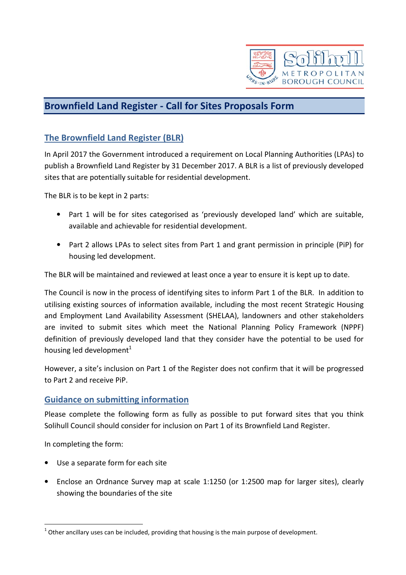

# Brownfield Land Register - Call for Sites Proposals Form

## The Brownfield Land Register (BLR)

In April 2017 the Government introduced a requirement on Local Planning Authorities (LPAs) to publish a Brownfield Land Register by 31 December 2017. A BLR is a list of previously developed sites that are potentially suitable for residential development.

The BLR is to be kept in 2 parts:

- Part 1 will be for sites categorised as 'previously developed land' which are suitable, available and achievable for residential development.
- Part 2 allows LPAs to select sites from Part 1 and grant permission in principle (PiP) for housing led development.

The BLR will be maintained and reviewed at least once a year to ensure it is kept up to date.

The Council is now in the process of identifying sites to inform Part 1 of the BLR. In addition to utilising existing sources of information available, including the most recent Strategic Housing and Employment Land Availability Assessment (SHELAA), landowners and other stakeholders are invited to submit sites which meet the National Planning Policy Framework (NPPF) definition of previously developed land that they consider have the potential to be used for housing led development $<sup>1</sup>$ </sup>

However, a site's inclusion on Part 1 of the Register does not confirm that it will be progressed to Part 2 and receive PiP.

## Guidance on submitting information

Please complete the following form as fully as possible to put forward sites that you think Solihull Council should consider for inclusion on Part 1 of its Brownfield Land Register.

In completing the form:

l

- Use a separate form for each site
- Enclose an Ordnance Survey map at scale 1:1250 (or 1:2500 map for larger sites), clearly showing the boundaries of the site

 $1$  Other ancillary uses can be included, providing that housing is the main purpose of development.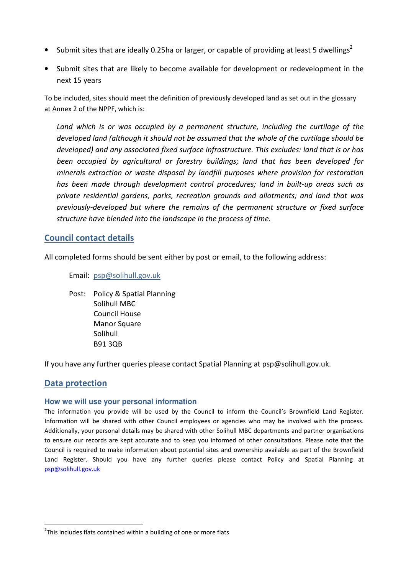- Submit sites that are ideally 0.25ha or larger, or capable of providing at least 5 dwellings<sup>2</sup>
- Submit sites that are likely to become available for development or redevelopment in the next 15 years

To be included, sites should meet the definition of previously developed land as set out in the glossary at Annex 2 of the NPPF, which is:

Land which is or was occupied by a permanent structure, including the curtilage of the developed land (although it should not be assumed that the whole of the curtilage should be developed) and any associated fixed surface infrastructure. This excludes: land that is or has been occupied by agricultural or forestry buildings; land that has been developed for minerals extraction or waste disposal by landfill purposes where provision for restoration has been made through development control procedures; land in built-up areas such as private residential gardens, parks, recreation grounds and allotments; and land that was previously-developed but where the remains of the permanent structure or fixed surface structure have blended into the landscape in the process of time.

### Council contact details

All completed forms should be sent either by post or email, to the following address:

Email: psp@solihull.gov.uk

Post: Policy & Spatial Planning Solihull MBC Council House Manor Square Solihull B91 3QB

If you have any further queries please contact Spatial Planning at psp@solihull.gov.uk.

### Data protection

l

### **How we will use your personal information**

The information you provide will be used by the Council to inform the Council's Brownfield Land Register. Information will be shared with other Council employees or agencies who may be involved with the process. Additionally, your personal details may be shared with other Solihull MBC departments and partner organisations to ensure our records are kept accurate and to keep you informed of other consultations. Please note that the Council is required to make information about potential sites and ownership available as part of the Brownfield Land Register. Should you have any further queries please contact Policy and Spatial Planning at psp@solihull.gov.uk

<sup>&</sup>lt;sup>2</sup>This includes flats contained within a building of one or more flats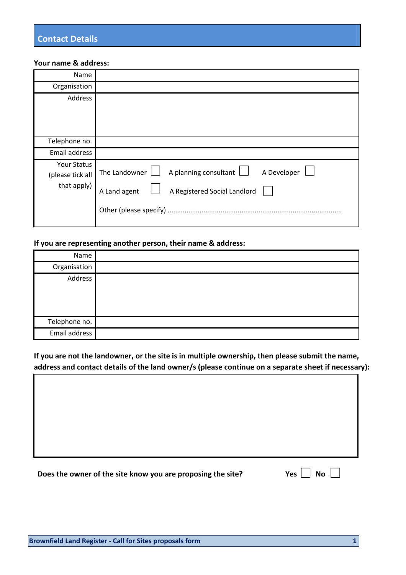#### Your name & address:

| Name                                           |                                                                                                                                               |
|------------------------------------------------|-----------------------------------------------------------------------------------------------------------------------------------------------|
| Organisation                                   |                                                                                                                                               |
| Address                                        |                                                                                                                                               |
| Telephone no.                                  |                                                                                                                                               |
| Email address                                  |                                                                                                                                               |
| Your Status<br>(please tick all<br>that apply) | A Developer<br>The Landowner $\Box$<br>A planning consultant $\Box$<br>A Registered Social Landlord<br>A Land agent<br>Other (please specify) |

### If you are representing another person, their name & address:

| Name          |  |
|---------------|--|
| Organisation  |  |
| Address       |  |
| Telephone no. |  |
| Email address |  |

If you are not the landowner, or the site is in multiple ownership, then please submit the name, address and contact details of the land owner/s (please continue on a separate sheet if necessary):

## Does the owner of the site know you are proposing the site? Yes  $\Box$  No  $\Box$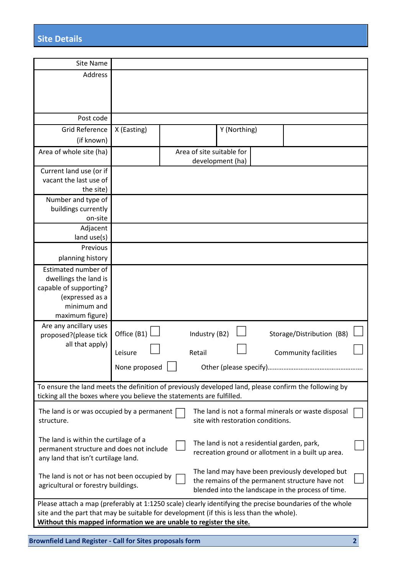| <b>Site Name</b>                                                                                                                                                               |               |  |                                             |              |                                                     |  |
|--------------------------------------------------------------------------------------------------------------------------------------------------------------------------------|---------------|--|---------------------------------------------|--------------|-----------------------------------------------------|--|
| Address                                                                                                                                                                        |               |  |                                             |              |                                                     |  |
|                                                                                                                                                                                |               |  |                                             |              |                                                     |  |
|                                                                                                                                                                                |               |  |                                             |              |                                                     |  |
|                                                                                                                                                                                |               |  |                                             |              |                                                     |  |
| Post code                                                                                                                                                                      |               |  |                                             |              |                                                     |  |
| <b>Grid Reference</b>                                                                                                                                                          | X (Easting)   |  |                                             | Y (Northing) |                                                     |  |
| (if known)                                                                                                                                                                     |               |  |                                             |              |                                                     |  |
| Area of whole site (ha)                                                                                                                                                        |               |  | Area of site suitable for                   |              |                                                     |  |
|                                                                                                                                                                                |               |  | development (ha)                            |              |                                                     |  |
| Current land use (or if                                                                                                                                                        |               |  |                                             |              |                                                     |  |
| vacant the last use of                                                                                                                                                         |               |  |                                             |              |                                                     |  |
| the site)                                                                                                                                                                      |               |  |                                             |              |                                                     |  |
| Number and type of                                                                                                                                                             |               |  |                                             |              |                                                     |  |
| buildings currently                                                                                                                                                            |               |  |                                             |              |                                                     |  |
| on-site                                                                                                                                                                        |               |  |                                             |              |                                                     |  |
| Adjacent                                                                                                                                                                       |               |  |                                             |              |                                                     |  |
| land use(s)                                                                                                                                                                    |               |  |                                             |              |                                                     |  |
| Previous                                                                                                                                                                       |               |  |                                             |              |                                                     |  |
| planning history                                                                                                                                                               |               |  |                                             |              |                                                     |  |
| Estimated number of                                                                                                                                                            |               |  |                                             |              |                                                     |  |
| dwellings the land is                                                                                                                                                          |               |  |                                             |              |                                                     |  |
| capable of supporting?                                                                                                                                                         |               |  |                                             |              |                                                     |  |
| (expressed as a                                                                                                                                                                |               |  |                                             |              |                                                     |  |
| minimum and                                                                                                                                                                    |               |  |                                             |              |                                                     |  |
| maximum figure)                                                                                                                                                                |               |  |                                             |              |                                                     |  |
| Are any ancillary uses                                                                                                                                                         |               |  |                                             |              |                                                     |  |
| proposed?(please tick                                                                                                                                                          | Office (B1)   |  | Industry (B2)                               |              | Storage/Distribution (B8)                           |  |
| all that apply)                                                                                                                                                                | Leisure       |  | Retail                                      |              | <b>Community facilities</b>                         |  |
|                                                                                                                                                                                |               |  |                                             |              |                                                     |  |
|                                                                                                                                                                                | None proposed |  |                                             |              |                                                     |  |
|                                                                                                                                                                                |               |  |                                             |              |                                                     |  |
| To ensure the land meets the definition of previously developed land, please confirm the following by<br>ticking all the boxes where you believe the statements are fulfilled. |               |  |                                             |              |                                                     |  |
|                                                                                                                                                                                |               |  |                                             |              |                                                     |  |
| The land is or was occupied by a permanent                                                                                                                                     |               |  |                                             |              | The land is not a formal minerals or waste disposal |  |
| structure.                                                                                                                                                                     |               |  | site with restoration conditions.           |              |                                                     |  |
|                                                                                                                                                                                |               |  |                                             |              |                                                     |  |
| The land is within the curtilage of a                                                                                                                                          |               |  | The land is not a residential garden, park, |              |                                                     |  |
| permanent structure and does not include<br>recreation ground or allotment in a built up area.<br>any land that isn't curtilage land.                                          |               |  |                                             |              |                                                     |  |
|                                                                                                                                                                                |               |  |                                             |              |                                                     |  |
| The land may have been previously developed but<br>The land is not or has not been occupied by                                                                                 |               |  |                                             |              |                                                     |  |
| the remains of the permanent structure have not<br>agricultural or forestry buildings.<br>blended into the landscape in the process of time.                                   |               |  |                                             |              |                                                     |  |
|                                                                                                                                                                                |               |  |                                             |              |                                                     |  |
| Please attach a map (preferably at 1:1250 scale) clearly identifying the precise boundaries of the whole                                                                       |               |  |                                             |              |                                                     |  |
| site and the part that may be suitable for development (if this is less than the whole).                                                                                       |               |  |                                             |              |                                                     |  |
| Without this mapped information we are unable to register the site.                                                                                                            |               |  |                                             |              |                                                     |  |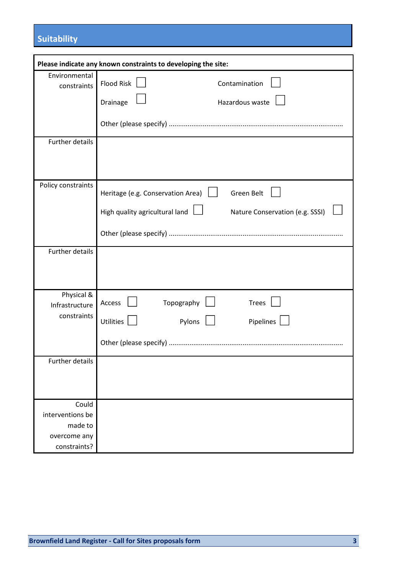# **Suitability**

|                               | Please indicate any known constraints to developing the site:            |
|-------------------------------|--------------------------------------------------------------------------|
| Environmental                 | <b>Flood Risk</b><br>Contamination                                       |
| constraints                   |                                                                          |
|                               | Hazardous waste<br>Drainage                                              |
|                               |                                                                          |
|                               |                                                                          |
| Further details               |                                                                          |
|                               |                                                                          |
|                               |                                                                          |
| Policy constraints            | <b>Green Belt</b><br>Heritage (e.g. Conservation Area)                   |
|                               |                                                                          |
|                               | High quality agricultural land $\Box$<br>Nature Conservation (e.g. SSSI) |
|                               |                                                                          |
|                               |                                                                          |
| Further details               |                                                                          |
|                               |                                                                          |
|                               |                                                                          |
| Physical &                    | Topography<br><b>Trees</b><br>Access                                     |
| Infrastructure<br>constraints |                                                                          |
|                               | <b>Utilities</b><br>Pylons<br>Pipelines                                  |
|                               |                                                                          |
|                               |                                                                          |
| Further details               |                                                                          |
|                               |                                                                          |
|                               |                                                                          |
| Could                         |                                                                          |
| interventions be              |                                                                          |
| made to                       |                                                                          |
| overcome any                  |                                                                          |
| constraints?                  |                                                                          |